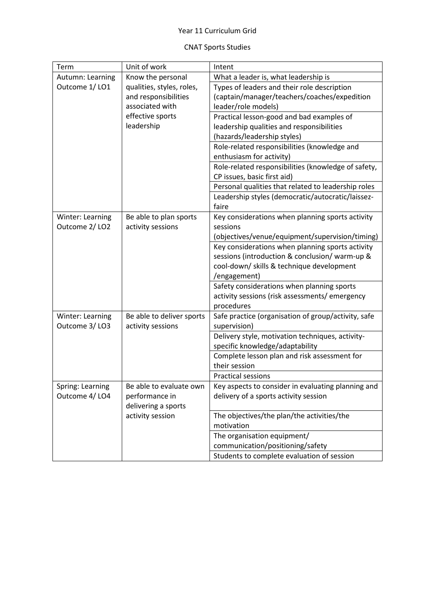## Year 11 Curriculum Grid

## CNAT Sports Studies

| Term             | Unit of work              | Intent                                              |
|------------------|---------------------------|-----------------------------------------------------|
| Autumn: Learning | Know the personal         | What a leader is, what leadership is                |
| Outcome 1/LO1    | qualities, styles, roles, | Types of leaders and their role description         |
|                  | and responsibilities      | (captain/manager/teachers/coaches/expedition        |
|                  | associated with           | leader/role models)                                 |
|                  | effective sports          | Practical lesson-good and bad examples of           |
|                  | leadership                | leadership qualities and responsibilities           |
|                  |                           | (hazards/leadership styles)                         |
|                  |                           | Role-related responsibilities (knowledge and        |
|                  |                           | enthusiasm for activity)                            |
|                  |                           | Role-related responsibilities (knowledge of safety, |
|                  |                           | CP issues, basic first aid)                         |
|                  |                           | Personal qualities that related to leadership roles |
|                  |                           | Leadership styles (democratic/autocratic/laissez-   |
|                  |                           | faire                                               |
| Winter: Learning | Be able to plan sports    | Key considerations when planning sports activity    |
| Outcome 2/LO2    | activity sessions         | sessions                                            |
|                  |                           | (objectives/venue/equipment/supervision/timing)     |
|                  |                           | Key considerations when planning sports activity    |
|                  |                           | sessions (introduction & conclusion/ warm-up &      |
|                  |                           | cool-down/ skills & technique development           |
|                  |                           | /engagement)                                        |
|                  |                           | Safety considerations when planning sports          |
|                  |                           | activity sessions (risk assessments/ emergency      |
|                  |                           | procedures                                          |
| Winter: Learning | Be able to deliver sports | Safe practice (organisation of group/activity, safe |
| Outcome 3/LO3    | activity sessions         | supervision)                                        |
|                  |                           | Delivery style, motivation techniques, activity-    |
|                  |                           | specific knowledge/adaptability                     |
|                  |                           | Complete lesson plan and risk assessment for        |
|                  |                           | their session                                       |
|                  |                           | <b>Practical sessions</b>                           |
| Spring: Learning | Be able to evaluate own   | Key aspects to consider in evaluating planning and  |
| Outcome 4/LO4    | performance in            | delivery of a sports activity session               |
|                  | delivering a sports       |                                                     |
|                  | activity session          | The objectives/the plan/the activities/the          |
|                  |                           | motivation                                          |
|                  |                           | The organisation equipment/                         |
|                  |                           | communication/positioning/safety                    |
|                  |                           | Students to complete evaluation of session          |